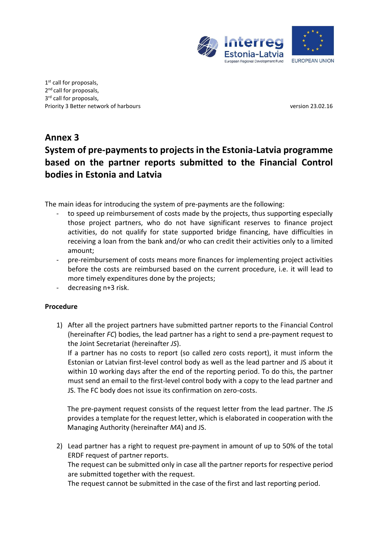

1<sup>st</sup> call for proposals, 2<sup>nd</sup> call for proposals, 3<sup>rd</sup> call for proposals, Priority 3 Better network of harbours version 23.02.16

## **Annex 3 System of pre-payments to projects in the Estonia-Latvia programme based on the partner reports submitted to the Financial Control bodies in Estonia and Latvia**

The main ideas for introducing the system of pre-payments are the following:

- to speed up reimbursement of costs made by the projects, thus supporting especially those project partners, who do not have significant reserves to finance project activities, do not qualify for state supported bridge financing, have difficulties in receiving a loan from the bank and/or who can credit their activities only to a limited amount;
- pre-reimbursement of costs means more finances for implementing project activities before the costs are reimbursed based on the current procedure, i.e. it will lead to more timely expenditures done by the projects;
- decreasing n+3 risk.

## **Procedure**

1) After all the project partners have submitted partner reports to the Financial Control (hereinafter *FC*) bodies, the lead partner has a right to send a pre-payment request to the Joint Secretariat (hereinafter *JS*).

If a partner has no costs to report (so called zero costs report), it must inform the Estonian or Latvian first-level control body as well as the lead partner and JS about it within 10 working days after the end of the reporting period. To do this, the partner must send an email to the first-level control body with a copy to the lead partner and JS. The FC body does not issue its confirmation on zero-costs.

The pre-payment request consists of the request letter from the lead partner. The JS provides a template for the request letter, which is elaborated in cooperation with the Managing Authority (hereinafter *MA*) and JS.

2) Lead partner has a right to request pre-payment in amount of up to 50% of the total ERDF request of partner reports. The request can be submitted only in case all the partner reports for respective period are submitted together with the request. The request cannot be submitted in the case of the first and last reporting period.